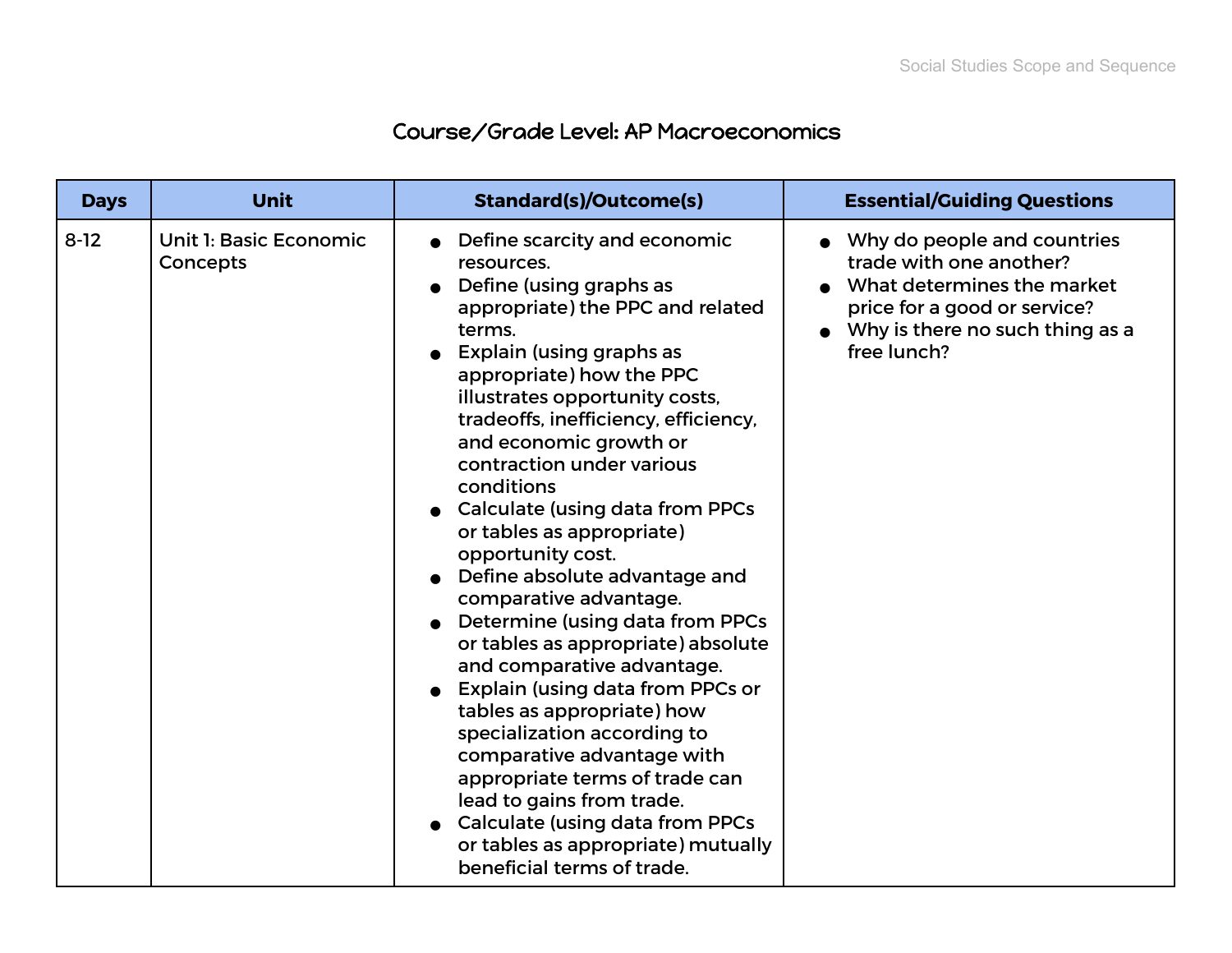## Course/Grade Level: AP Macroeconomics

| <b>Days</b> | <b>Unit</b>                        | <b>Standard(s)/Outcome(s)</b>                                                                                                                                                                                                                                                                                                                                                                                                                                                                                                                                                                                                                                                                                                                                                                                                                                                                 | <b>Essential/Guiding Questions</b>                                                                                                                                     |
|-------------|------------------------------------|-----------------------------------------------------------------------------------------------------------------------------------------------------------------------------------------------------------------------------------------------------------------------------------------------------------------------------------------------------------------------------------------------------------------------------------------------------------------------------------------------------------------------------------------------------------------------------------------------------------------------------------------------------------------------------------------------------------------------------------------------------------------------------------------------------------------------------------------------------------------------------------------------|------------------------------------------------------------------------------------------------------------------------------------------------------------------------|
| $8-12$      | Unit 1: Basic Economic<br>Concepts | Define scarcity and economic<br>resources.<br>Define (using graphs as<br>appropriate) the PPC and related<br>terms.<br>Explain (using graphs as<br>appropriate) how the PPC<br>illustrates opportunity costs,<br>tradeoffs, inefficiency, efficiency,<br>and economic growth or<br>contraction under various<br>conditions<br><b>Calculate (using data from PPCs</b><br>or tables as appropriate)<br>opportunity cost.<br>Define absolute advantage and<br>comparative advantage.<br>Determine (using data from PPCs<br>or tables as appropriate) absolute<br>and comparative advantage.<br>Explain (using data from PPCs or<br>tables as appropriate) how<br>specialization according to<br>comparative advantage with<br>appropriate terms of trade can<br>lead to gains from trade.<br>Calculate (using data from PPCs<br>or tables as appropriate) mutually<br>beneficial terms of trade. | Why do people and countries<br>trade with one another?<br>What determines the market<br>price for a good or service?<br>Why is there no such thing as a<br>free lunch? |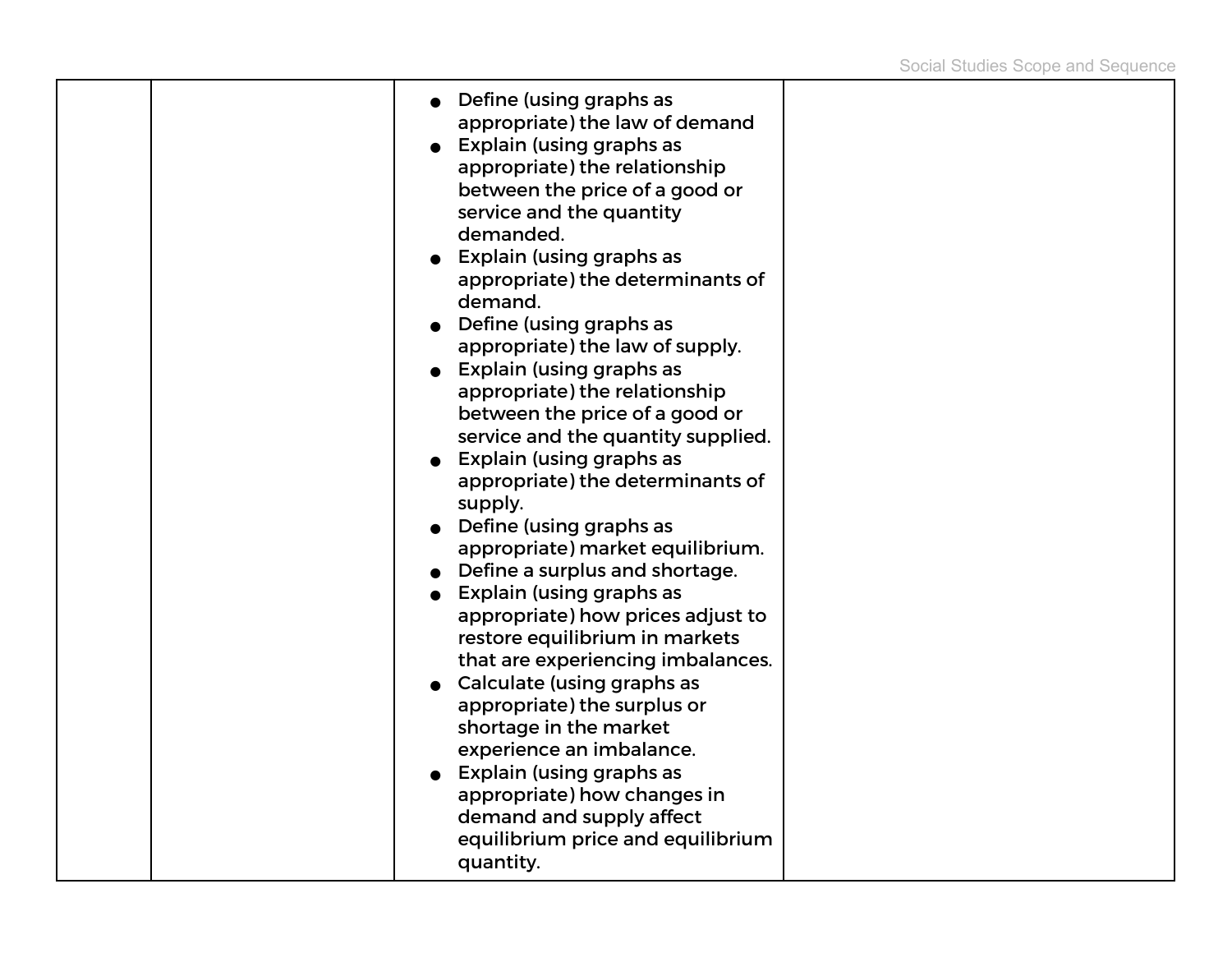| Define (using graphs as<br>appropriate) the law of demand<br>• Explain (using graphs as<br>appropriate) the relationship<br>between the price of a good or<br>service and the quantity<br>demanded.<br>• Explain (using graphs as<br>appropriate) the determinants of<br>demand.<br>$\bullet$ Define (using graphs as<br>appropriate) the law of supply.<br>• Explain (using graphs as<br>appropriate) the relationship<br>between the price of a good or<br>service and the quantity supplied.<br>Explain (using graphs as<br>appropriate) the determinants of<br>supply.<br>$\bullet$ Define (using graphs as<br>appropriate) market equilibrium.<br>• Define a surplus and shortage.<br>• Explain (using graphs as<br>appropriate) how prices adjust to<br>restore equilibrium in markets<br>that are experiencing imbalances.<br>• Calculate (using graphs as<br>appropriate) the surplus or<br>shortage in the market<br>experience an imbalance.<br>• Explain (using graphs as<br>appropriate) how changes in<br>demand and supply affect<br>equilibrium price and equilibrium |  |
|--------------------------------------------------------------------------------------------------------------------------------------------------------------------------------------------------------------------------------------------------------------------------------------------------------------------------------------------------------------------------------------------------------------------------------------------------------------------------------------------------------------------------------------------------------------------------------------------------------------------------------------------------------------------------------------------------------------------------------------------------------------------------------------------------------------------------------------------------------------------------------------------------------------------------------------------------------------------------------------------------------------------------------------------------------------------------------------|--|
| quantity.                                                                                                                                                                                                                                                                                                                                                                                                                                                                                                                                                                                                                                                                                                                                                                                                                                                                                                                                                                                                                                                                            |  |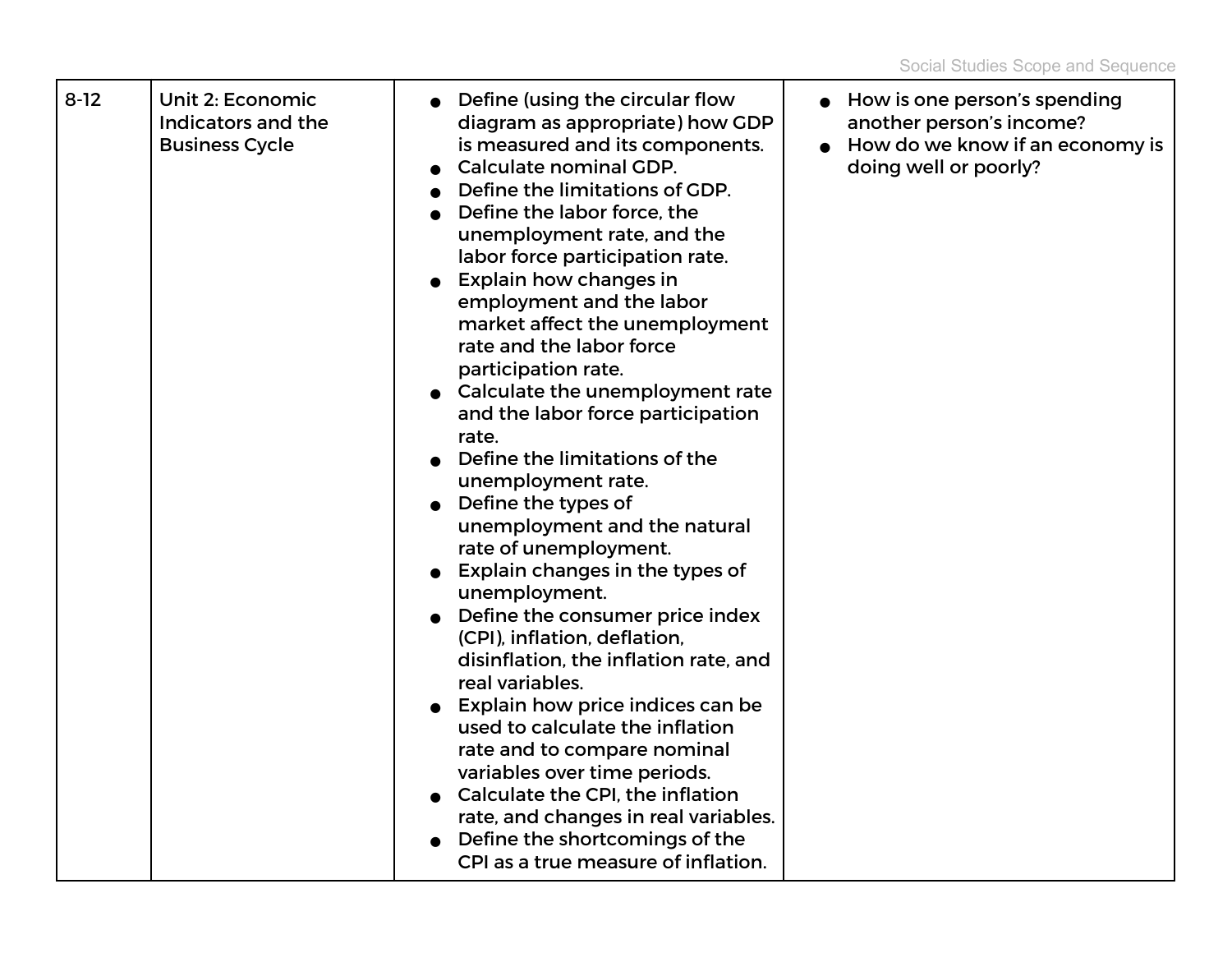|  | $8 - 12$ | Unit 2: Economic<br>Indicators and the<br><b>Business Cycle</b> | Define (using the circular flow<br>diagram as appropriate) how GDP<br>is measured and its components.<br>Calculate nominal GDP.<br>Define the limitations of GDP.<br>Define the labor force, the<br>unemployment rate, and the<br>labor force participation rate.<br><b>Explain how changes in</b><br>employment and the labor<br>market affect the unemployment<br>rate and the labor force<br>participation rate.<br>Calculate the unemployment rate<br>and the labor force participation<br>rate.<br>Define the limitations of the<br>unemployment rate.<br>Define the types of<br>unemployment and the natural<br>rate of unemployment.<br>Explain changes in the types of<br>unemployment.<br>Define the consumer price index<br>(CPI), inflation, deflation,<br>disinflation, the inflation rate, and<br>real variables.<br>Explain how price indices can be<br>used to calculate the inflation<br>rate and to compare nominal<br>variables over time periods.<br>Calculate the CPI, the inflation<br>rate, and changes in real variables.<br>Define the shortcomings of the<br>CPI as a true measure of inflation. | How is one person's spending<br>another person's income?<br>How do we know if an economy is<br>doing well or poorly? |
|--|----------|-----------------------------------------------------------------|---------------------------------------------------------------------------------------------------------------------------------------------------------------------------------------------------------------------------------------------------------------------------------------------------------------------------------------------------------------------------------------------------------------------------------------------------------------------------------------------------------------------------------------------------------------------------------------------------------------------------------------------------------------------------------------------------------------------------------------------------------------------------------------------------------------------------------------------------------------------------------------------------------------------------------------------------------------------------------------------------------------------------------------------------------------------------------------------------------------------------|----------------------------------------------------------------------------------------------------------------------|
|--|----------|-----------------------------------------------------------------|---------------------------------------------------------------------------------------------------------------------------------------------------------------------------------------------------------------------------------------------------------------------------------------------------------------------------------------------------------------------------------------------------------------------------------------------------------------------------------------------------------------------------------------------------------------------------------------------------------------------------------------------------------------------------------------------------------------------------------------------------------------------------------------------------------------------------------------------------------------------------------------------------------------------------------------------------------------------------------------------------------------------------------------------------------------------------------------------------------------------------|----------------------------------------------------------------------------------------------------------------------|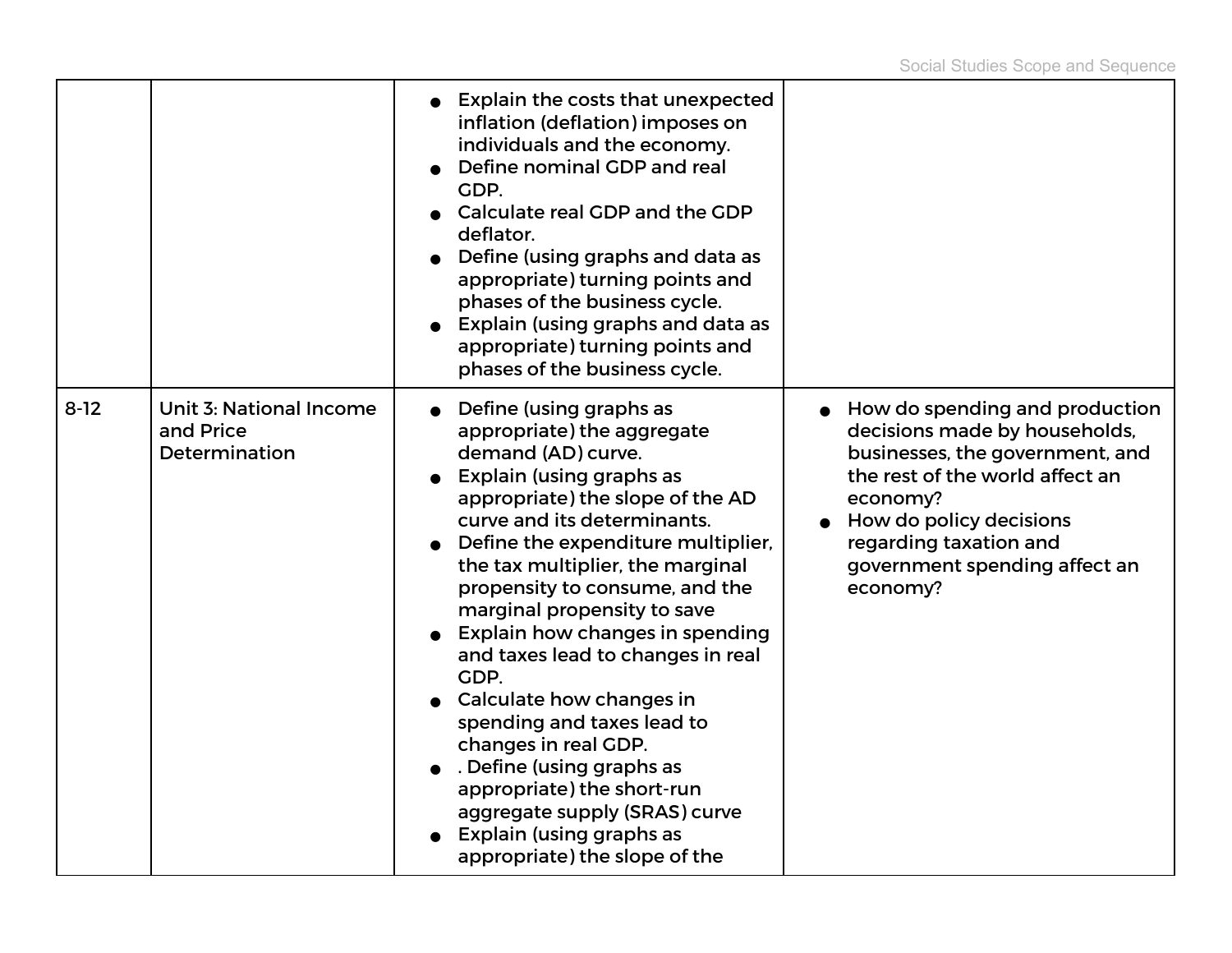|          |                                                       | <b>Explain the costs that unexpected</b><br>inflation (deflation) imposes on<br>individuals and the economy.<br>Define nominal GDP and real<br>GDP.<br>Calculate real GDP and the GDP<br>deflator.<br>Define (using graphs and data as<br>appropriate) turning points and<br>phases of the business cycle.<br>Explain (using graphs and data as<br>appropriate) turning points and<br>phases of the business cycle.                                                                                                                                                                                                                              |                                                                                                                                                                                                                                                     |
|----------|-------------------------------------------------------|--------------------------------------------------------------------------------------------------------------------------------------------------------------------------------------------------------------------------------------------------------------------------------------------------------------------------------------------------------------------------------------------------------------------------------------------------------------------------------------------------------------------------------------------------------------------------------------------------------------------------------------------------|-----------------------------------------------------------------------------------------------------------------------------------------------------------------------------------------------------------------------------------------------------|
| $8 - 12$ | Unit 3: National Income<br>and Price<br>Determination | Define (using graphs as<br>appropriate) the aggregate<br>demand (AD) curve.<br>Explain (using graphs as<br>appropriate) the slope of the AD<br>curve and its determinants.<br>Define the expenditure multiplier,<br>the tax multiplier, the marginal<br>propensity to consume, and the<br>marginal propensity to save<br>Explain how changes in spending<br>and taxes lead to changes in real<br>GDP.<br>Calculate how changes in<br>spending and taxes lead to<br>changes in real GDP.<br>. Define (using graphs as<br>appropriate) the short-run<br>aggregate supply (SRAS) curve<br>Explain (using graphs as<br>appropriate) the slope of the | How do spending and production<br>decisions made by households,<br>businesses, the government, and<br>the rest of the world affect an<br>economy?<br>How do policy decisions<br>regarding taxation and<br>government spending affect an<br>economy? |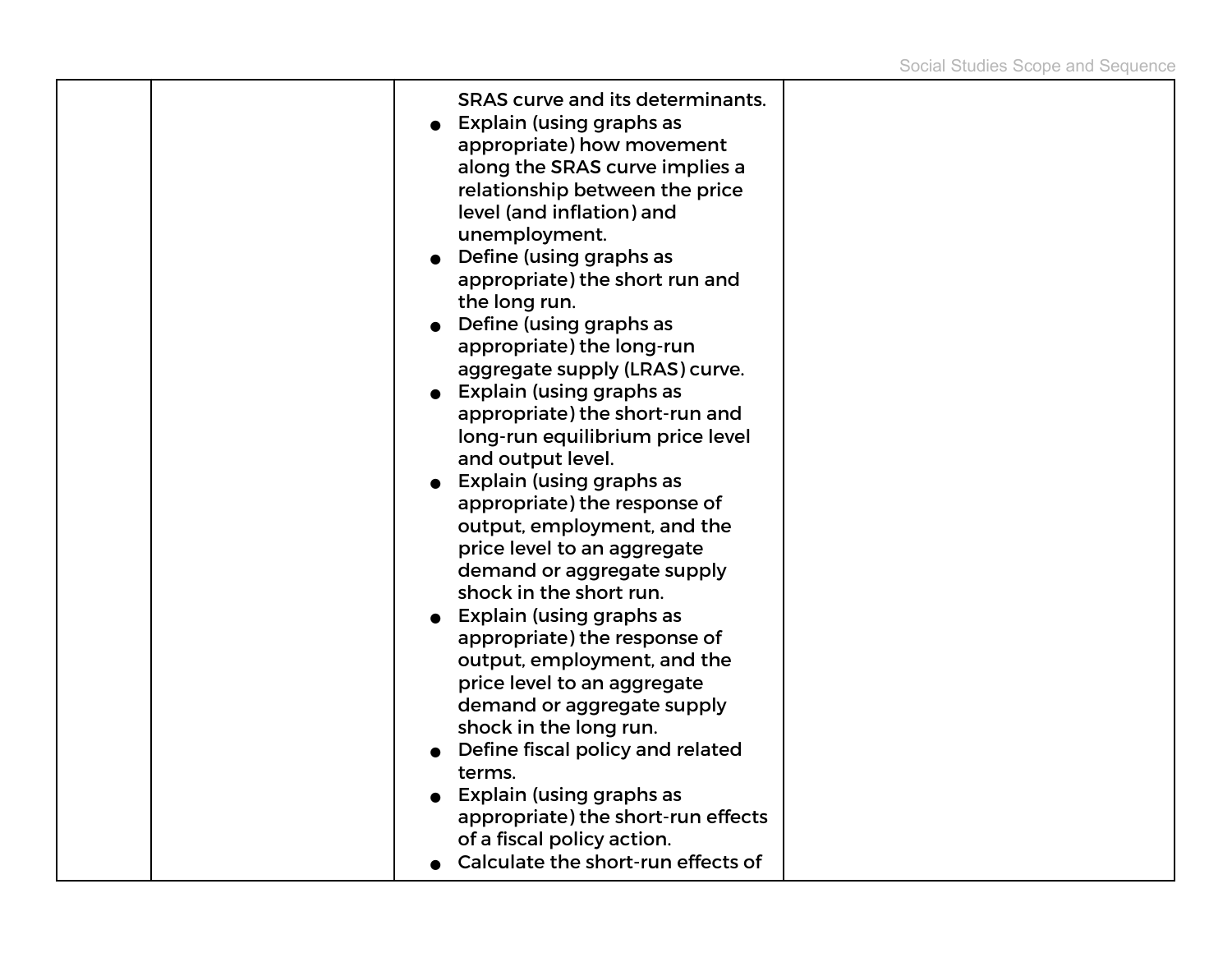|  | <b>SRAS curve and its determinants.</b><br>Explain (using graphs as<br>appropriate) how movement<br>along the SRAS curve implies a<br>relationship between the price<br>level (and inflation) and<br>unemployment.<br>$\bullet$ Define (using graphs as<br>appropriate) the short run and<br>the long run.<br>$\bullet$ Define (using graphs as<br>appropriate) the long-run<br>aggregate supply (LRAS) curve.<br>$\bullet$ Explain (using graphs as<br>appropriate) the short-run and<br>long-run equilibrium price level<br>and output level.<br>$\bullet$ Explain (using graphs as<br>appropriate) the response of<br>output, employment, and the<br>price level to an aggregate<br>demand or aggregate supply<br>shock in the short run.<br>• Explain (using graphs as<br>appropriate) the response of<br>output, employment, and the<br>price level to an aggregate<br>demand or aggregate supply<br>shock in the long run.<br>• Define fiscal policy and related<br>terms.<br>Explain (using graphs as<br>appropriate) the short-run effects |  |
|--|----------------------------------------------------------------------------------------------------------------------------------------------------------------------------------------------------------------------------------------------------------------------------------------------------------------------------------------------------------------------------------------------------------------------------------------------------------------------------------------------------------------------------------------------------------------------------------------------------------------------------------------------------------------------------------------------------------------------------------------------------------------------------------------------------------------------------------------------------------------------------------------------------------------------------------------------------------------------------------------------------------------------------------------------------|--|
|  | of a fiscal policy action.<br>Calculate the short-run effects of                                                                                                                                                                                                                                                                                                                                                                                                                                                                                                                                                                                                                                                                                                                                                                                                                                                                                                                                                                                   |  |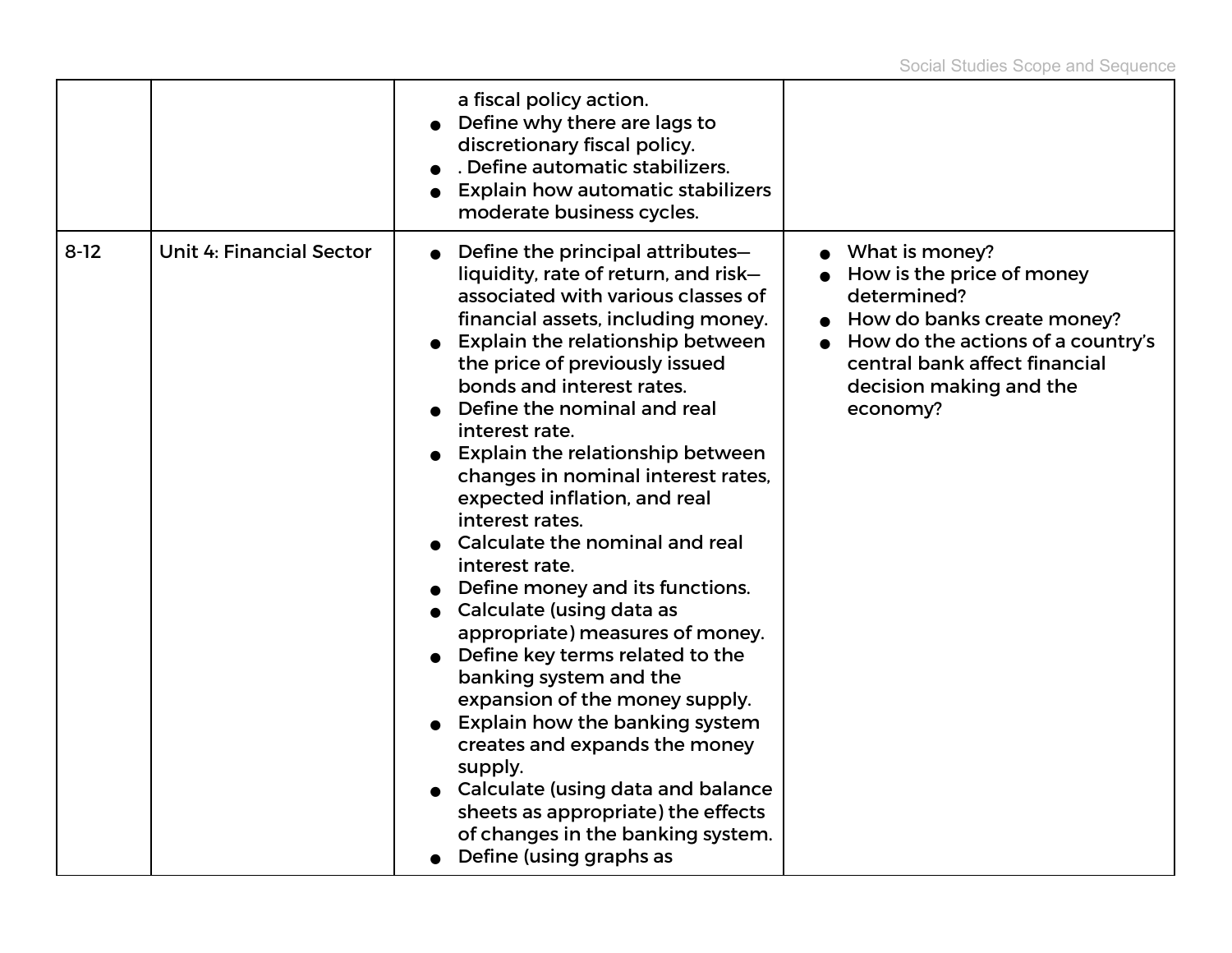|          |                                 | a fiscal policy action.<br>Define why there are lags to<br>discretionary fiscal policy.<br>. Define automatic stabilizers.<br><b>Explain how automatic stabilizers</b><br>moderate business cycles.                                                                                                                                                                                                                                                                                                                                                                                                                                                                                                                                                                                                                                                                                                                                      |                                                                                                                                                                                                       |
|----------|---------------------------------|------------------------------------------------------------------------------------------------------------------------------------------------------------------------------------------------------------------------------------------------------------------------------------------------------------------------------------------------------------------------------------------------------------------------------------------------------------------------------------------------------------------------------------------------------------------------------------------------------------------------------------------------------------------------------------------------------------------------------------------------------------------------------------------------------------------------------------------------------------------------------------------------------------------------------------------|-------------------------------------------------------------------------------------------------------------------------------------------------------------------------------------------------------|
| $8 - 12$ | <b>Unit 4: Financial Sector</b> | Define the principal attributes-<br>liquidity, rate of return, and risk-<br>associated with various classes of<br>financial assets, including money.<br><b>Explain the relationship between</b><br>the price of previously issued<br>bonds and interest rates.<br>Define the nominal and real<br>interest rate.<br><b>Explain the relationship between</b><br>changes in nominal interest rates,<br>expected inflation, and real<br>interest rates.<br>Calculate the nominal and real<br>interest rate.<br>Define money and its functions.<br>Calculate (using data as<br>appropriate) measures of money.<br>Define key terms related to the<br>banking system and the<br>expansion of the money supply.<br><b>Explain how the banking system</b><br>creates and expands the money<br>supply.<br>Calculate (using data and balance<br>sheets as appropriate) the effects<br>of changes in the banking system.<br>Define (using graphs as | What is money?<br>How is the price of money<br>determined?<br>How do banks create money?<br>How do the actions of a country's<br>central bank affect financial<br>decision making and the<br>economy? |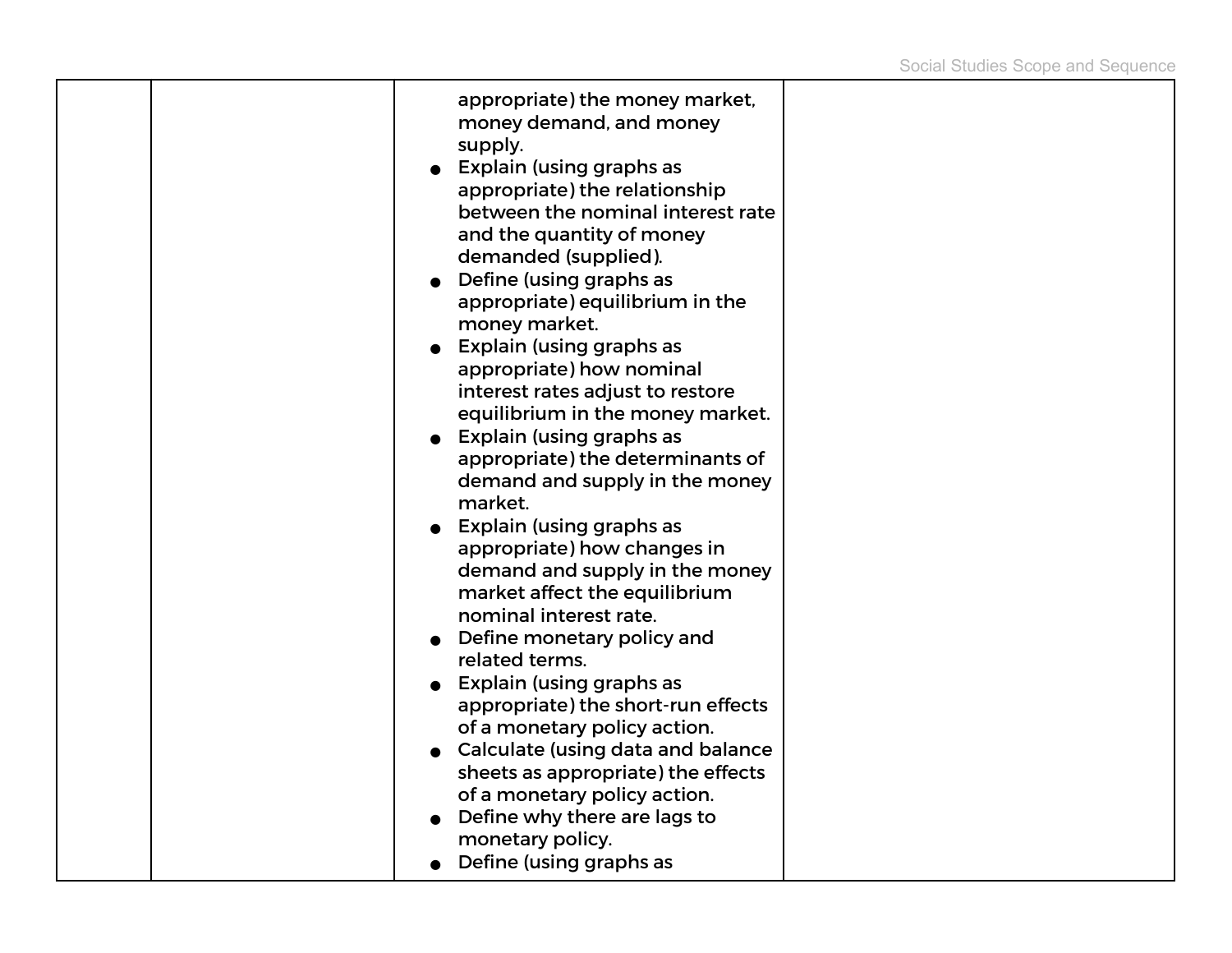|  | appropriate) the money market,<br>money demand, and money<br>supply.<br>Explain (using graphs as<br>appropriate) the relationship<br>between the nominal interest rate<br>and the quantity of money<br>demanded (supplied).<br>$\bullet$ Define (using graphs as<br>appropriate) equilibrium in the<br>money market.<br>Explain (using graphs as<br>appropriate) how nominal<br>interest rates adjust to restore<br>equilibrium in the money market.<br>• Explain (using graphs as<br>appropriate) the determinants of<br>demand and supply in the money<br>market.<br>• Explain (using graphs as<br>appropriate) how changes in<br>demand and supply in the money<br>market affect the equilibrium<br>nominal interest rate.<br>Define monetary policy and<br>related terms.<br>Explain (using graphs as<br>appropriate) the short-run effects<br>of a monetary policy action.<br>Calculate (using data and balance<br>sheets as appropriate) the effects<br>of a monetary policy action.<br>Define why there are lags to |  |
|--|----------------------------------------------------------------------------------------------------------------------------------------------------------------------------------------------------------------------------------------------------------------------------------------------------------------------------------------------------------------------------------------------------------------------------------------------------------------------------------------------------------------------------------------------------------------------------------------------------------------------------------------------------------------------------------------------------------------------------------------------------------------------------------------------------------------------------------------------------------------------------------------------------------------------------------------------------------------------------------------------------------------------------|--|
|  | monetary policy.<br>Define (using graphs as                                                                                                                                                                                                                                                                                                                                                                                                                                                                                                                                                                                                                                                                                                                                                                                                                                                                                                                                                                                |  |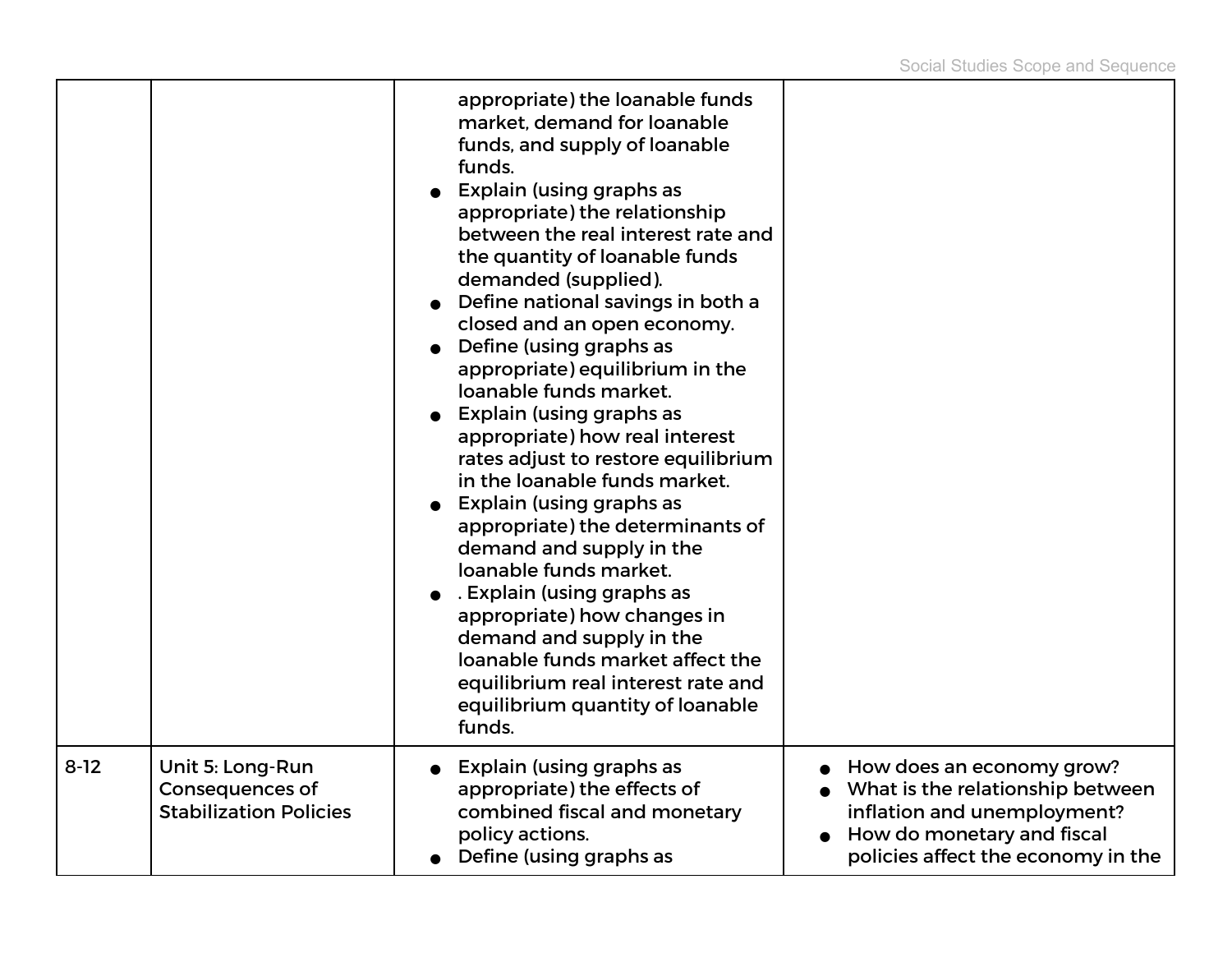|        |                                                                             | appropriate) the loanable funds<br>market, demand for loanable<br>funds, and supply of loanable<br>funds.<br>Explain (using graphs as<br>appropriate) the relationship<br>between the real interest rate and<br>the quantity of loanable funds<br>demanded (supplied).<br>Define national savings in both a<br>closed and an open economy.<br>Define (using graphs as<br>appropriate) equilibrium in the<br>loanable funds market.<br>Explain (using graphs as<br>appropriate) how real interest<br>rates adjust to restore equilibrium<br>in the loanable funds market.<br>Explain (using graphs as<br>appropriate) the determinants of<br>demand and supply in the<br>loanable funds market.<br>. Explain (using graphs as<br>appropriate) how changes in<br>demand and supply in the<br>loanable funds market affect the<br>equilibrium real interest rate and<br>equilibrium quantity of loanable<br>funds. |                                                                                                                                                                  |
|--------|-----------------------------------------------------------------------------|-----------------------------------------------------------------------------------------------------------------------------------------------------------------------------------------------------------------------------------------------------------------------------------------------------------------------------------------------------------------------------------------------------------------------------------------------------------------------------------------------------------------------------------------------------------------------------------------------------------------------------------------------------------------------------------------------------------------------------------------------------------------------------------------------------------------------------------------------------------------------------------------------------------------|------------------------------------------------------------------------------------------------------------------------------------------------------------------|
| $8-12$ | Unit 5: Long-Run<br><b>Consequences of</b><br><b>Stabilization Policies</b> | Explain (using graphs as<br>appropriate) the effects of<br>combined fiscal and monetary<br>policy actions.<br>Define (using graphs as                                                                                                                                                                                                                                                                                                                                                                                                                                                                                                                                                                                                                                                                                                                                                                           | How does an economy grow?<br>What is the relationship between<br>inflation and unemployment?<br>How do monetary and fiscal<br>policies affect the economy in the |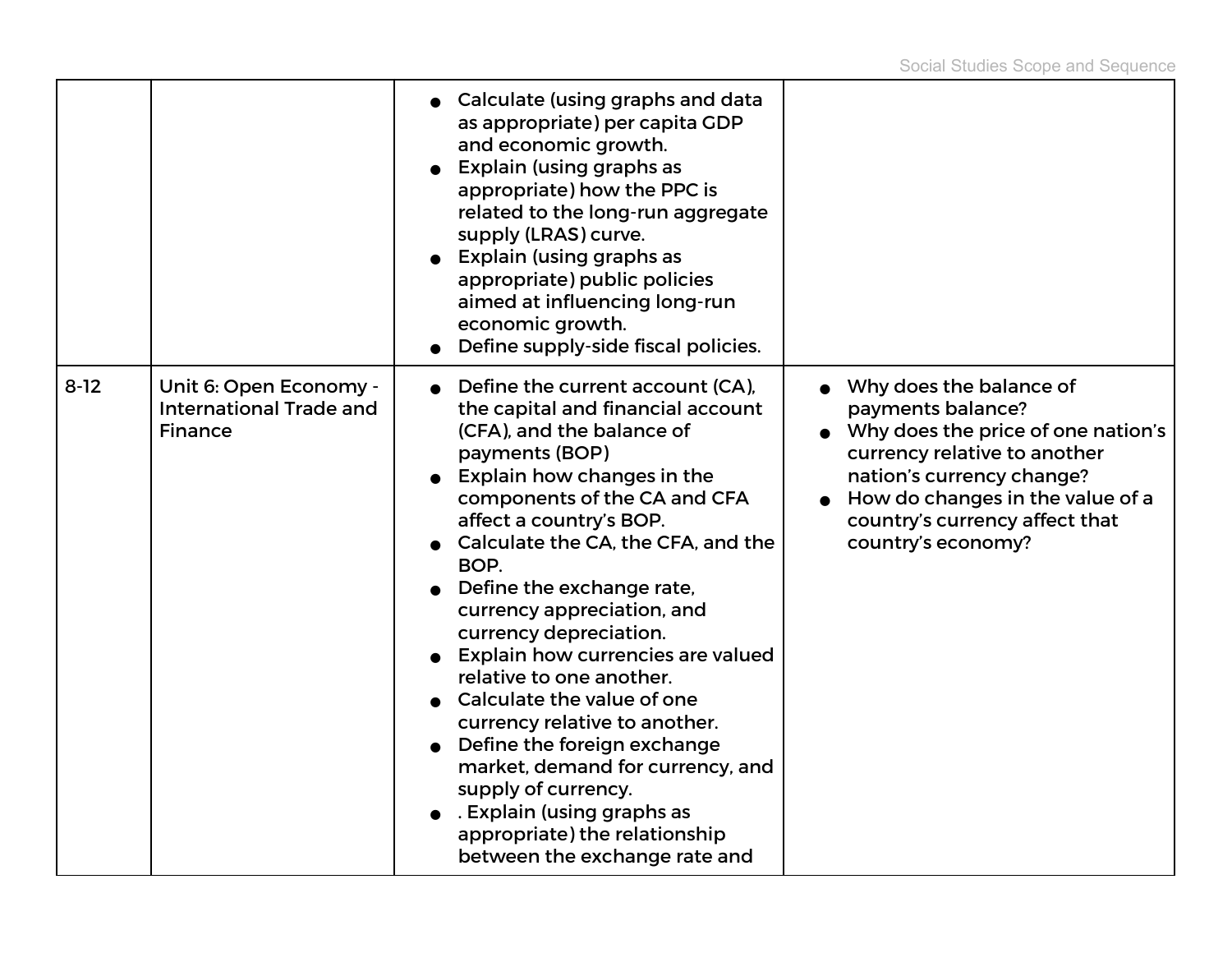|          |                                                                            | • Calculate (using graphs and data<br>as appropriate) per capita GDP<br>and economic growth.<br>Explain (using graphs as<br>appropriate) how the PPC is<br>related to the long-run aggregate<br>supply (LRAS) curve.<br>Explain (using graphs as<br>appropriate) public policies<br>aimed at influencing long-run<br>economic growth.<br>Define supply-side fiscal policies.                                                                                                                                                                                                                                                                                                      |                                                                                                                                                                                                                                             |
|----------|----------------------------------------------------------------------------|-----------------------------------------------------------------------------------------------------------------------------------------------------------------------------------------------------------------------------------------------------------------------------------------------------------------------------------------------------------------------------------------------------------------------------------------------------------------------------------------------------------------------------------------------------------------------------------------------------------------------------------------------------------------------------------|---------------------------------------------------------------------------------------------------------------------------------------------------------------------------------------------------------------------------------------------|
| $8 - 12$ | Unit 6: Open Economy -<br><b>International Trade and</b><br><b>Finance</b> | Define the current account (CA),<br>the capital and financial account<br>(CFA), and the balance of<br>payments (BOP)<br>Explain how changes in the<br>components of the CA and CFA<br>affect a country's BOP.<br>Calculate the CA, the CFA, and the<br>BOP.<br>Define the exchange rate,<br>currency appreciation, and<br>currency depreciation.<br><b>Explain how currencies are valued</b><br>relative to one another.<br>Calculate the value of one<br>currency relative to another.<br>Define the foreign exchange<br>market, demand for currency, and<br>supply of currency.<br>. Explain (using graphs as<br>appropriate) the relationship<br>between the exchange rate and | Why does the balance of<br>payments balance?<br>Why does the price of one nation's<br>currency relative to another<br>nation's currency change?<br>How do changes in the value of a<br>country's currency affect that<br>country's economy? |